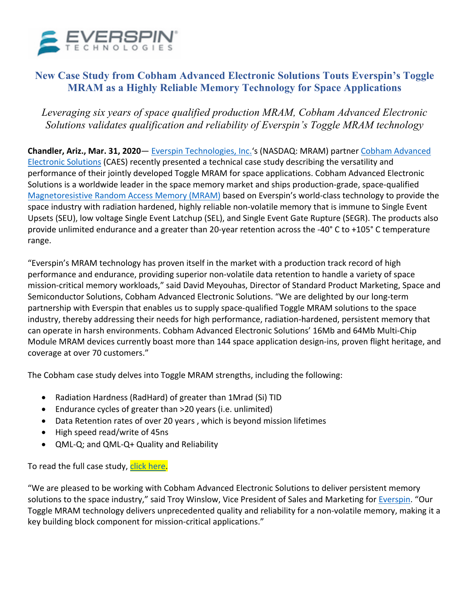

# **New Case Study from Cobham Advanced Electronic Solutions Touts Everspin's Toggle MRAM as a Highly Reliable Memory Technology for Space Applications**

## *Leveraging six years of space qualified production MRAM, Cobham Advanced Electronic Solutions validates qualification and reliability of Everspin's Toggle MRAM technology*

**Chandler, Ariz., Mar. 31, 2020**— Everspin Technologies, Inc.'s (NASDAQ: MRAM) partner Cobham Advanced Electronic Solutions (CAES) recently presented a technical case study describing the versatility and performance of their jointly developed Toggle MRAM for space applications. Cobham Advanced Electronic Solutions is a worldwide leader in the space memory market and ships production-grade, space-qualified Magnetoresistive Random Access Memory (MRAM) based on Everspin's world-class technology to provide the space industry with radiation hardened, highly reliable non-volatile memory that is immune to Single Event Upsets (SEU), low voltage Single Event Latchup (SEL), and Single Event Gate Rupture (SEGR). The products also provide unlimited endurance and a greater than 20-year retention across the -40° C to +105° C temperature range.

"Everspin's MRAM technology has proven itself in the market with a production track record of high performance and endurance, providing superior non-volatile data retention to handle a variety of space mission-critical memory workloads," said David Meyouhas, Director of Standard Product Marketing, Space and Semiconductor Solutions, Cobham Advanced Electronic Solutions. "We are delighted by our long-term partnership with Everspin that enables us to supply space-qualified Toggle MRAM solutions to the space industry, thereby addressing their needs for high performance, radiation-hardened, persistent memory that can operate in harsh environments. Cobham Advanced Electronic Solutions' 16Mb and 64Mb Multi-Chip Module MRAM devices currently boast more than 144 space application design-ins, proven flight heritage, and coverage at over 70 customers."

The Cobham case study delves into Toggle MRAM strengths, including the following:

- Radiation Hardness (RadHard) of greater than 1Mrad (Si) TID
- Endurance cycles of greater than >20 years (i.e. unlimited)
- Data Retention rates of over 20 years , which is beyond mission lifetimes
- High speed read/write of 45ns
- QML-Q; and QML-Q+ Quality and Reliability

To read the full case study, click here.

"We are pleased to be working with Cobham Advanced Electronic Solutions to deliver persistent memory solutions to the space industry," said Troy Winslow, Vice President of Sales and Marketing for Everspin. "Our Toggle MRAM technology delivers unprecedented quality and reliability for a non-volatile memory, making it a key building block component for mission-critical applications."